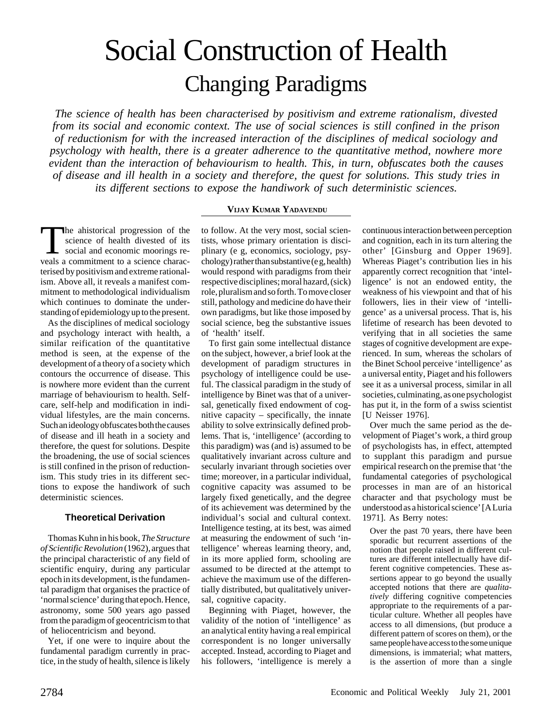# Social Construction of Health Changing Paradigms

*The science of health has been characterised by positivism and extreme rationalism, divested from its social and economic context. The use of social sciences is still confined in the prison of reductionism for with the increased interaction of the disciplines of medical sociology and psychology with health, there is a greater adherence to the quantitative method, nowhere more evident than the interaction of behaviourism to health. This, in turn, obfuscates both the causes of disease and ill health in a society and therefore, the quest for solutions. This study tries in its different sections to expose the handiwork of such deterministic sciences.*

# **VIJAY KUMAR YADAVENDU**

The ahistorical progression of the<br>science of health divested of its<br>social and economic moorings re-<br>veals a commitment to a science characscience of health divested of its social and economic moorings reveals a commitment to a science characterised by positivism and extreme rationalism. Above all, it reveals a manifest commitment to methodological individualism which continues to dominate the understanding of epidemiology up to the present.

As the disciplines of medical sociology and psychology interact with health, a similar reification of the quantitative method is seen, at the expense of the development of a theory of a society which contours the occurrence of disease. This is nowhere more evident than the current marriage of behaviourism to health. Selfcare, self-help and modification in individual lifestyles, are the main concerns. Such an ideology obfuscates both the causes of disease and ill heath in a society and therefore, the quest for solutions. Despite the broadening, the use of social sciences is still confined in the prison of reductionism. This study tries in its different sections to expose the handiwork of such deterministic sciences.

## **Theoretical Derivation**

Thomas Kuhn in his book, *The Structure of Scientific Revolution* (1962), argues that the principal characteristic of any field of scientific enquiry, during any particular epoch in its development, is the fundamental paradigm that organises the practice of 'normal science' during that epoch. Hence, astronomy, some 500 years ago passed from the paradigm of geocentricism to that of heliocentricism and beyond.

Yet, if one were to inquire about the fundamental paradigm currently in practice, in the study of health, silence is likely

to follow. At the very most, social scientists, whose primary orientation is disciplinary (e g, economics, sociology, psychology) rather than substantive (e g, health) would respond with paradigms from their respective disciplines; moral hazard, (sick) role, pluralism and so forth. To move closer still, pathology and medicine do have their own paradigms, but like those imposed by social science, beg the substantive issues of 'health' itself.

To first gain some intellectual distance on the subject, however, a brief look at the development of paradigm structures in psychology of intelligence could be useful. The classical paradigm in the study of intelligence by Binet was that of a universal, genetically fixed endowment of cognitive capacity – specifically, the innate ability to solve extrinsically defined problems. That is, 'intelligence' (according to this paradigm) was (and is) assumed to be qualitatively invariant across culture and secularly invariant through societies over time; moreover, in a particular individual, cognitive capacity was assumed to be largely fixed genetically, and the degree of its achievement was determined by the individual's social and cultural context. Intelligence testing, at its best, was aimed at measuring the endowment of such 'intelligence' whereas learning theory, and, in its more applied form, schooling are assumed to be directed at the attempt to achieve the maximum use of the differentially distributed, but qualitatively universal, cognitive capacity.

Beginning with Piaget, however, the validity of the notion of 'intelligence' as an analytical entity having a real empirical correspondent is no longer universally accepted. Instead, according to Piaget and his followers, 'intelligence is merely a

continuous interaction between perception and cognition, each in its turn altering the other' [Ginsburg and Opper 1969]. Whereas Piaget's contribution lies in his apparently correct recognition that 'intelligence' is not an endowed entity, the weakness of his viewpoint and that of his followers, lies in their view of 'intelligence' as a universal process. That is, his lifetime of research has been devoted to verifying that in all societies the same stages of cognitive development are experienced. In sum, whereas the scholars of the Binet School perceive 'intelligence' as a universal entity, Piaget and his followers see it as a universal process, similar in all societies, culminating, as one psychologist has put it, in the form of a swiss scientist [U Neisser 1976].

Over much the same period as the development of Piaget's work, a third group of psychologists has, in effect, attempted to supplant this paradigm and pursue empirical research on the premise that 'the fundamental categories of psychological processes in man are of an historical character and that psychology must be understood as a historical science' [A Luria 1971]. As Berry notes:

Over the past 70 years, there have been sporadic but recurrent assertions of the notion that people raised in different cultures are different intellectually have different cognitive competencies. These assertions appear to go beyond the usually accepted notions that there are *qualitatively* differing cognitive competencies appropriate to the requirements of a particular culture. Whether all peoples have access to all dimensions, (but produce a different pattern of scores on them), or the same people have access to the some unique dimensions, is immaterial; what matters, is the assertion of more than a single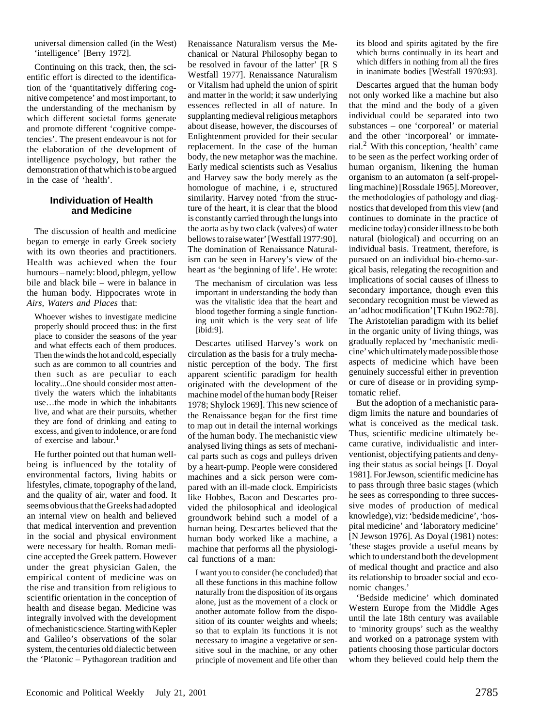universal dimension called (in the West) 'intelligence' [Berry 1972].

Continuing on this track, then, the scientific effort is directed to the identification of the 'quantitatively differing cognitive competence' and most important, to the understanding of the mechanism by which different societal forms generate and promote different 'cognitive competencies'. The present endeavour is not for the elaboration of the development of intelligence psychology, but rather the demonstration of that which is to be argued in the case of 'health'.

#### **Individuation of Health and Medicine**

The discussion of health and medicine began to emerge in early Greek society with its own theories and practitioners. Health was achieved when the four humours – namely: blood, phlegm, yellow bile and black bile – were in balance in the human body. Hippocrates wrote in *Airs, Waters and Places* that:

Whoever wishes to investigate medicine properly should proceed thus: in the first place to consider the seasons of the year and what effects each of them produces. Then the winds the hot and cold, especially such as are common to all countries and then such as are peculiar to each locality...One should consider most attentively the waters which the inhabitants use…the mode in which the inhabitants live, and what are their pursuits, whether they are fond of drinking and eating to excess, and given to indolence, or are fond of exercise and labour.<sup>1</sup>

He further pointed out that human wellbeing is influenced by the totality of environmental factors, living habits or lifestyles, climate, topography of the land, and the quality of air, water and food. It seems obvious that the Greeks had adopted an internal view on health and believed that medical intervention and prevention in the social and physical environment were necessary for health. Roman medicine accepted the Greek pattern. However under the great physician Galen, the empirical content of medicine was on the rise and transition from religious to scientific orientation in the conception of health and disease began. Medicine was integrally involved with the development of mechanistic science. Starting with Kepler and Galileo's observations of the solar system, the centuries old dialectic between the 'Platonic – Pythagorean tradition and

Renaissance Naturalism versus the Mechanical or Natural Philosophy began to be resolved in favour of the latter' [R S Westfall 1977]. Renaissance Naturalism or Vitalism had upheld the union of spirit and matter in the world; it saw underlying essences reflected in all of nature. In supplanting medieval religious metaphors about disease, however, the discourses of Enlightenment provided for their secular replacement. In the case of the human body, the new metaphor was the machine. Early medical scientists such as Vesalius and Harvey saw the body merely as the homologue of machine, i e, structured similarity. Harvey noted 'from the structure of the heart, it is clear that the blood is constantly carried through the lungs into the aorta as by two clack (valves) of water bellows to raise water' [Westfall 1977:90]. The domination of Renaissance Naturalism can be seen in Harvey's view of the heart as 'the beginning of life'. He wrote:

The mechanism of circulation was less important in understanding the body than was the vitalistic idea that the heart and blood together forming a single functioning unit which is the very seat of life [ibid:9].

Descartes utilised Harvey's work on circulation as the basis for a truly mechanistic perception of the body. The first apparent scientific paradigm for health originated with the development of the machine model of the human body [Reiser 1978; Shylock 1969]. This new science of the Renaissance began for the first time to map out in detail the internal workings of the human body. The mechanistic view analysed living things as sets of mechanical parts such as cogs and pulleys driven by a heart-pump. People were considered machines and a sick person were compared with an ill-made clock. Empiricists like Hobbes, Bacon and Descartes provided the philosophical and ideological groundwork behind such a model of a human being. Descartes believed that the human body worked like a machine, a machine that performs all the physiological functions of a man:

I want you to consider (he concluded) that all these functions in this machine follow naturally from the disposition of its organs alone, just as the movement of a clock or another automate follow from the disposition of its counter weights and wheels; so that to explain its functions it is not necessary to imagine a vegetative or sensitive soul in the machine, or any other principle of movement and life other than its blood and spirits agitated by the fire which burns continually in its heart and which differs in nothing from all the fires in inanimate bodies [Westfall 1970:93].

Descartes argued that the human body not only worked like a machine but also that the mind and the body of a given individual could be separated into two substances – one 'corporeal' or material and the other 'incorporeal' or immaterial.2 With this conception, 'health' came to be seen as the perfect working order of human organism, likening the human organism to an automaton (a self-propelling machine) [Rossdale 1965]. Moreover, the methodologies of pathology and diagnostics that developed from this view (and continues to dominate in the practice of medicine today) consider illness to be both natural (biological) and occurring on an individual basis. Treatment, therefore, is pursued on an individual bio-chemo-surgical basis, relegating the recognition and implications of social causes of illness to secondary importance, though even this secondary recognition must be viewed as an 'ad hoc modification' [T Kuhn 1962:78]. The Aristotelian paradigm with its belief in the organic unity of living things, was gradually replaced by 'mechanistic medicine' which ultimately made possible those aspects of medicine which have been genuinely successful either in prevention or cure of disease or in providing symptomatic relief.

But the adoption of a mechanistic paradigm limits the nature and boundaries of what is conceived as the medical task. Thus, scientific medicine ultimately became curative, individualistic and interventionist, objectifying patients and denying their status as social beings [L Doyal 1981]. For Jewson, scientific medicine has to pass through three basic stages (which he sees as corresponding to three successive modes of production of medical knowledge), viz: 'bedside medicine', 'hospital medicine' and 'laboratory medicine' [N Jewson 1976]. As Doyal (1981) notes: 'these stages provide a useful means by which to understand both the development of medical thought and practice and also its relationship to broader social and economic changes.'

'Bedside medicine' which dominated Western Europe from the Middle Ages until the late 18th century was available to 'minority groups' such as the wealthy and worked on a patronage system with patients choosing those particular doctors whom they believed could help them the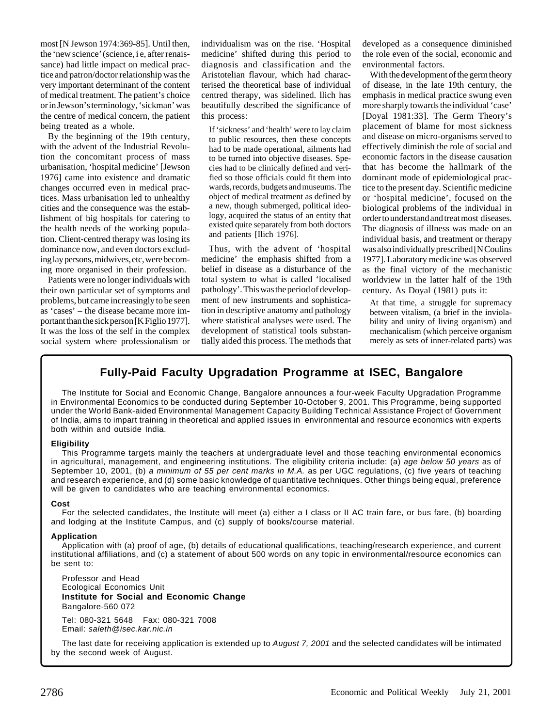most [N Jewson 1974:369-85]. Until then, the 'new science'(science, i e, after renaissance) had little impact on medical practice and patron/doctor relationship was the very important determinant of the content of medical treatment. The patient's choice or in Jewson's terminology, 'sickman' was the centre of medical concern, the patient being treated as a whole.

By the beginning of the 19th century, with the advent of the Industrial Revolution the concomitant process of mass urbanisation, 'hospital medicine' [Jewson 1976] came into existence and dramatic changes occurred even in medical practices. Mass urbanisation led to unhealthy cities and the consequence was the establishment of big hospitals for catering to the health needs of the working population. Client-centred therapy was losing its dominance now, and even doctors excluding lay persons, midwives, etc, were becoming more organised in their profession.

Patients were no longer individuals with their own particular set of symptoms and problems, but came increasingly to be seen as 'cases' – the disease became more important than the sick person [K Figlio 1977]. It was the loss of the self in the complex social system where professionalism or

individualism was on the rise. 'Hospital medicine' shifted during this period to diagnosis and classification and the Aristotelian flavour, which had characterised the theoretical base of individual centred therapy, was sidelined. llich has beautifully described the significance of this process:

If 'sickness' and 'health' were to lay claim to public resources, then these concepts had to be made operational, ailments had to be turned into objective diseases. Species had to be clinically defined and verified so those officials could fit them into wards, records, budgets and museums. The object of medical treatment as defined by a new, though submerged, political ideology, acquired the status of an entity that existed quite separately from both doctors and patients [Ilich 1976].

Thus, with the advent of 'hospital medicine' the emphasis shifted from a belief in disease as a disturbance of the total system to what is called 'localised pathology'. This was the period of development of new instruments and sophistication in descriptive anatomy and pathology where statistical analyses were used. The development of statistical tools substantially aided this process. The methods that developed as a consequence diminished the role even of the social, economic and environmental factors.

With the development of the germ theory of disease, in the late 19th century, the emphasis in medical practice swung even more sharply towards the individual 'case' [Doyal 1981:33]. The Germ Theory's placement of blame for most sickness and disease on micro-organisms served to effectively diminish the role of social and economic factors in the disease causation that has become the hallmark of the dominant mode of epidemiological practice to the present day. Scientific medicine or 'hospital medicine', focused on the biological problems of the individual in order to understand and treat most diseases. The diagnosis of illness was made on an individual basis, and treatment or therapy was also individually prescribed [N Coulins 1977].Laboratory medicine was observed as the final victory of the mechanistic worldview in the latter half of the 19th century. As Doyal (1981) puts it:

At that time, a struggle for supremacy between vitalism, (a brief in the inviolability and unity of living organism) and mechanicalism (which perceive organism merely as sets of inner-related parts) was

# **Fully-Paid Faculty Upgradation Programme at ISEC, Bangalore**

The Institute for Social and Economic Change, Bangalore announces a four-week Faculty Upgradation Programme in Environmental Economics to be conducted during September 10-October 9, 2001. This Programme, being supported under the World Bank-aided Environmental Management Capacity Building Technical Assistance Project of Government of India, aims to impart training in theoretical and applied issues in environmental and resource economics with experts both within and outside India.

#### **Eligibility**

This Programme targets mainly the teachers at undergraduate level and those teaching environmental economics in agricultural, management, and engineering institutions. The eligibility criteria include: (a) age below 50 years as of September 10, 2001, (b) a minimum of 55 per cent marks in M.A. as per UGC regulations, (c) five years of teaching and research experience, and (d) some basic knowledge of quantitative techniques. Other things being equal, preference will be given to candidates who are teaching environmental economics.

#### **Cost**

For the selected candidates, the Institute will meet (a) either a I class or II AC train fare, or bus fare, (b) boarding and lodging at the Institute Campus, and (c) supply of books/course material.

## **Application**

Application with (a) proof of age, (b) details of educational qualifications, teaching/research experience, and current institutional affiliations, and (c) a statement of about 500 words on any topic in environmental/resource economics can be sent to:

Professor and Head Ecological Economics Unit **Institute for Social and Economic Change** Bangalore-560 072 Tel: 080-321 5648 Fax: 080-321 7008

Email: saleth@isec.kar.nic.in

The last date for receiving application is extended up to August 7, 2001 and the selected candidates will be intimated by the second week of August.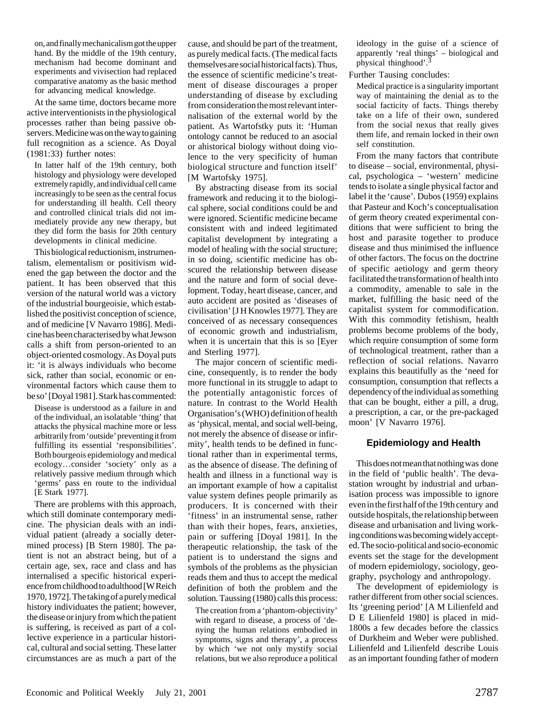on, and finally mechanicalism got the upper hand. By the middle of the 19th century, mechanism had become dominant and experiments and vivisection had replaced comparative anatomy as the basic method for advancing medical knowledge.

At the same time, doctors became more active interventionists in the physiological processes rather than being passive observers. Medicine was on the way to gaining full recognition as a science. As Doyal (1981:33) further notes:

In latter half of the 19th century, both histology and physiology were developed extremely rapidly, and individual cell came increasingly to be seen as the central focus for understanding ill health. Cell theory and controlled clinical trials did not immediately provide any new therapy, but they did form the basis for 20th century developments in clinical medicine.

This biological reductionism, instrumentalism, elementalism or positivism widened the gap between the doctor and the patient. It has been observed that this version of the natural world was a victory of the industrial bourgeoisie, which established the positivist conception of science, and of medicine [V Navarro 1986]. Medicine has been characterised by what Jewson calls a shift from person-oriented to an object-oriented cosmology. As Doyal puts it: 'it is always individuals who become sick, rather than social, economic or environmental factors which cause them to be so' [Doyal 1981]. Stark has commented:

Disease is understood as a failure in and of the individual, an isolatable 'thing' that attacks the physical machine more or less arbitrarily from 'outside' preventing it from fulfilling its essential 'responsibilities'. Both bourgeois epidemiology and medical ecology…consider 'society' only as a relatively passive medium through which 'germs' pass en route to the individual [E Stark 1977].

There are problems with this approach, which still dominate contemporary medicine. The physician deals with an individual patient (already a socially determined process) [B Stern 1980]. The patient is not an abstract being, but of a certain age, sex, race and class and has internalised a specific historical experience from childhood to adulthood [W Reich 1970, 1972]. The taking of a purely medical history individuates the patient; however, the disease or injury from which the patient is suffering, is received as part of a collective experience in a particular historical, cultural and social setting. These latter circumstances are as much a part of the cause, and should be part of the treatment, as purely medical facts. (The medical facts themselves are social historical facts). Thus, the essence of scientific medicine's treatment of disease discourages a proper understanding of disease by excluding from consideration the most relevant internalisation of the external world by the patient. As Wartofstky puts it: 'Human ontology cannot be reduced to an asocial or ahistorical biology without doing violence to the very specificity of human biological structure and function itself' [M Wartofsky 1975].

By abstracting disease from its social framework and reducing it to the biological sphere, social conditions could be and were ignored. Scientific medicine became consistent with and indeed legitimated capitalist development by integrating a model of healing with the social structure; in so doing, scientific medicine has obscured the relationship between disease and the nature and form of social development. Today, heart disease, cancer, and auto accident are posited as 'diseases of civilisation' [J H Knowles 1977]. They are conceived of as necessary consequences of economic growth and industrialism, when it is uncertain that this is so [Eyer and Sterling 1977].

The major concern of scientific medicine, consequently, is to render the body more functional in its struggle to adapt to the potentially antagonistic forces of nature. In contrast to the World Health Organisation's (WHO) definition of health as 'physical, mental, and social well-being, not merely the absence of disease or infirmity', health tends to be defined in functional rather than in experimental terms, as the absence of disease. The defining of health and illness in a functional way is an important example of how a capitalist value system defines people primarily as producers. It is concerned with their 'fitness' in an instrumental sense, rather than with their hopes, fears, anxieties, pain or suffering [Doyal 1981]. In the therapeutic relationship, the task of the patient is to understand the signs and symbols of the problems as the physician reads them and thus to accept the medical definition of both the problem and the solution. Taussing (1980) calls this process:

The creation from a 'phantom-objectivity' with regard to disease, a process of 'denying the human relations embodied in symptoms, signs and therapy', a process by which 'we not only mystify social relations, but we also reproduce a political ideology in the guise of a science of apparently 'real things' – biological and physical thinghood'.

Further Tausing concludes:

Medical practice is a singularity important way of maintaining the denial as to the social facticity of facts. Things thereby take on a life of their own, sundered from the social nexus that really gives them life, and remain locked in their own self constitution.

From the many factors that contribute to disease – social, environmental, physical, psychologica – 'western' medicine tends to isolate a single physical factor and label it the 'cause'. Dubos (1959) explains that Pasteur and Koch's conceptualisation of germ theory created experimental conditions that were sufficient to bring the host and parasite together to produce disease and thus minimised the influence of other factors. The focus on the doctrine of specific aetiology and germ theory facilitated the transformation of health into a commodity, amenable to sale in the market, fulfilling the basic need of the capitalist system for commodification. With this commodity fetishism, health problems become problems of the body, which require consumption of some form of technological treatment, rather than a reflection of social relations. Navarro explains this beautifully as the 'need for consumption, consumption that reflects a dependency of the individual as something that can be bought, either a pill, a drug, a prescription, a car, or the pre-packaged moon' [V Navarro 1976].

## **Epidemiology and Health**

This does not mean that nothing was done in the field of 'public health'. The devastation wrought by industrial and urbanisation process was impossible to ignore even in the first half of the 19th century and outside hospitals, the relationship between disease and urbanisation and living working conditions was becoming widely accepted. The socio-political and socio-economic events set the stage for the development of modern epidemiology, sociology, geography, psychology and anthropology.

The development of epidemiology is rather different from other social sciences. Its 'greening period' [A M Lilienfeld and D E Lilienfeld 1980] is placed in mid-1800s a few decades before the classics of Durkheim and Weber were published. Lilienfeld and Lilienfeld describe Louis as an important founding father of modern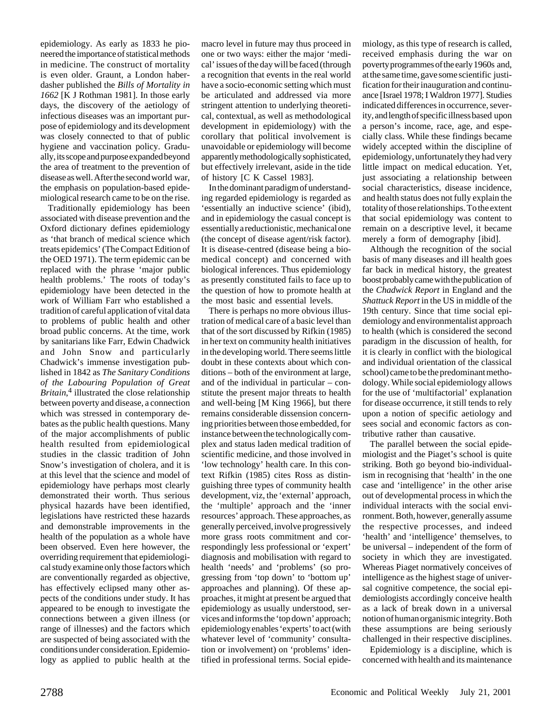epidemiology. As early as 1833 he pioneered the importance of statistical methods in medicine. The construct of mortality is even older. Graunt, a London haberdasher published the *Bills of Mortality in 1662* [K J Rothman 1981]. In those early days, the discovery of the aetiology of infectious diseases was an important purpose of epidemiology and its development was closely connected to that of public hygiene and vaccination policy. Gradually, its scope and purpose expanded beyond the area of treatment to the prevention of disease as well. After the second world war, the emphasis on population-based epidemiological research came to be on the rise.

Traditionally epidemiology has been associated with disease prevention and the Oxford dictionary defines epidemiology as 'that branch of medical science which treats epidemics' (The Compact Edition of the OED 1971). The term epidemic can be replaced with the phrase 'major public health problems.' The roots of today's epidemiology have been detected in the work of William Farr who established a tradition of careful application of vital data to problems of public health and other broad public concerns. At the time, work by sanitarians like Farr, Edwin Chadwick and John Snow and particularly Chadwick's immense investigation published in 1842 as *The Sanitary Conditions of the Labouring Populat*io*n of Great Britain*, 4 illustrated the close relationship between poverty and disease, a connection which was stressed in contemporary debates as the public health questions. Many of the major accomplishments of public health resulted from epidemiological studies in the classic tradition of John Snow's investigation of cholera, and it is at this level that the science and model of epidemiology have perhaps most clearly demonstrated their worth. Thus serious physical hazards have been identified, legislations have restricted these hazards and demonstrable improvements in the health of the population as a whole have been observed. Even here however, the overriding requirement that epidemiological study examine only those factors which are conventionally regarded as objective, has effectively eclipsed many other aspects of the conditions under study. It has appeared to be enough to investigate the connections between a given illness (or range of illnesses) and the factors which are suspected of being associated with the conditions under consideration. Epidemiology as applied to public health at the

macro level in future may thus proceed in one or two ways: either the major 'medical' issues of the day will be faced (through a recognition that events in the real world have a socio-economic setting which must be articulated and addressed via more stringent attention to underlying theoretical, contextual, as well as methodological development in epidemiology) with the corollary that political involvement is unavoidable or epidemiology will become apparently methodologically sophisticated, but effectively irrelevant, aside in the tide of history [C K Cassel 1983].

In the dominant paradigm of understanding regarded epidemiology is regarded as 'essentially an inductive science' (ibid), and in epidemiology the casual concept is essentially a reductionistic, mechanical one (the concept of disease agent/risk factor). It is disease-centred (disease being a biomedical concept) and concerned with biological inferences. Thus epidemiology as presently constituted fails to face up to the question of how to promote health at the most basic and essential levels.

There is perhaps no more obvious illustration of medical care of a basic level than that of the sort discussed by Rifkin (1985) in her text on community health initiatives in the developing world. There seems little doubt in these contexts about which conditions – both of the environment at large, and of the individual in particular – constitute the present major threats to health and well-being [M King 1966], but there remains considerable dissension concerning priorities between those embedded, for instance between the technologically complex and status laden medical tradition of scientific medicine, and those involved in 'low technology' health care. In this context Rifkin (1985) cites Ross as distinguishing three types of community health development, viz, the 'external' approach, the 'multiple' approach and the 'inner resources' approach. These approaches, as generally perceived, involve progressively more grass roots commitment and correspondingly less professional or 'expert' diagnosis and mobilisation with regard to health 'needs' and 'problems' (so progressing from 'top down' to 'bottom up' approaches and planning). Of these approaches, it might at present be argued that epidemiology as usually understood, services and informs the 'top down' approach; epidemiology enables 'experts' to act (with whatever level of 'community' consultation or involvement) on 'problems' identified in professional terms. Social epide-

miology, as this type of research is called, received emphasis during the war on poverty programmes of the early 1960s and, at the same time, gave some scientific justification for their inauguration and continuance [Israel 1978; I Waldron 1977]. Studies indicated differences in occurrence, severity, and length of specific illness based upon a person's income, race, age, and especially class. While these findings became widely accepted within the discipline of epidemiology, unfortunately they had very little impact on medical education. Yet, just associating a relationship between social characteristics, disease incidence, and health status does not fully explain the totality of those relationships. To the extent that social epidemiology was content to remain on a descriptive level, it became merely a form of demography [ibid].

Although the recognition of the social basis of many diseases and ill health goes far back in medical history, the greatest boost probably came with the publication of the *Chadwick Report* in England and the *Shattuck Report* in the US in middle of the 19th century. Since that time social epidemiology and environmentalist approach to health (which is considered the second paradigm in the discussion of health, for it is clearly in conflict with the biological and individual orientation of the classical school) came to be the predominant methodology. While social epidemiology allows for the use of 'multifactorial' explanation for disease occurrence, it still tends to rely upon a notion of specific aetiology and sees social and economic factors as contributive rather than causative.

The parallel between the social epidemiologist and the Piaget's school is quite striking. Both go beyond bio-individualism in recognising that 'health' in the one case and 'intelligence' in the other arise out of developmental process in which the individual interacts with the social environment. Both, however, generally assume the respective processes, and indeed 'health' and 'intelligence' themselves, to be universal – independent of the form of society in which they are investigated. Whereas Piaget normatively conceives of intelligence as the highest stage of universal cognitive competence, the social epidemiologists accordingly conceive health as a lack of break down in a universal notion of human organismic integrity. Both these assumptions are being seriously challenged in their respective disciplines.

Epidemiology is a discipline, which is concerned with health and its maintenance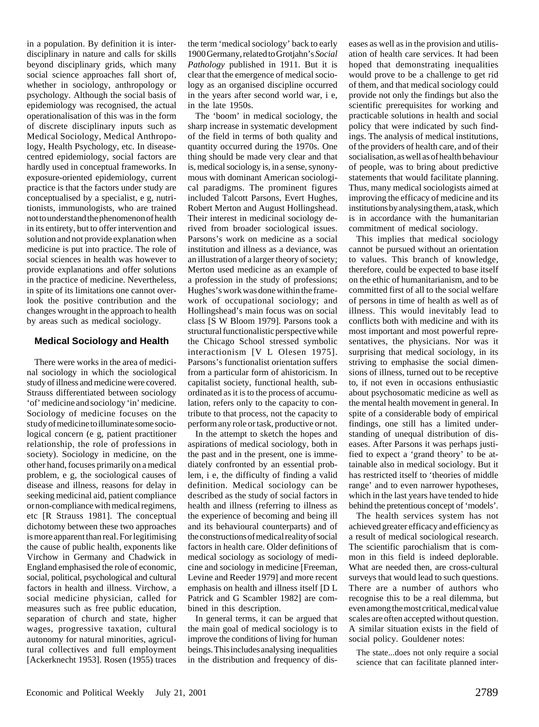in a population. By definition it is interdisciplinary in nature and calls for skills beyond disciplinary grids, which many social science approaches fall short of, whether in sociology, anthropology or psychology. Although the social basis of epidemiology was recognised, the actual operationalisation of this was in the form of discrete disciplinary inputs such as Medical Sociology, Medical Anthropology, Health Psychology, etc. In diseasecentred epidemiology, social factors are hardly used in conceptual frameworks. In exposure-oriented epidemiology, current practice is that the factors under study are conceptualised by a specialist, e g, nutritionists, immunologists, who are trained not to understand the phenomenon of health in its entirety, but to offer intervention and solution and not provide explanation when medicine is put into practice. The role of social sciences in health was however to provide explanations and offer solutions in the practice of medicine. Nevertheless, in spite of its limitations one cannot overlook the positive contribution and the changes wrought in the approach to health by areas such as medical sociology.

#### **Medical Sociology and Health**

There were works in the area of medicinal sociology in which the sociological study of illness and medicine were covered. Strauss differentiated between sociology 'of' medicine and sociology 'in' medicine. Sociology of medicine focuses on the study of medicine to illuminate some sociological concern (e g, patient practitioner relationship, the role of professions in society). Sociology in medicine, on the other hand, focuses primarily on a medical problem, e g, the sociological causes of disease and illness, reasons for delay in seeking medicinal aid, patient compliance or non-compliance with medical regimens, etc [R Strauss 1981]. The conceptual dichotomy between these two approaches is more apparent than real. For legitimising the cause of public health, exponents like Virchow in Germany and Chadwick in England emphasised the role of economic, social, political, psychological and cultural factors in health and illness. Virchow, a social medicine physician, called for measures such as free public education, separation of church and state, higher wages, progressive taxation, cultural autonomy for natural minorities, agricultural collectives and full employment [Ackerknecht 1953]. Rosen (1955) traces

the term 'medical sociology' back to early 1900 Germany, related to Grotjahn's *Social Pathology* published in 1911. But it is clear that the emergence of medical sociology as an organised discipline occurred in the years after second world war, i e, in the late 1950s.

The 'boom' in medical sociology, the sharp increase in systematic development of the field in terms of both quality and quantity occurred during the 1970s. One thing should be made very clear and that is, medical sociology is, in a sense, synonymous with dominant American sociological paradigms. The prominent figures included Talcott Parsons, Evert Hughes, Robert Merton and August Hollingshead. Their interest in medicinal sociology derived from broader sociological issues. Parsons's work on medicine as a social institution and illness as a deviance, was an illustration of a larger theory of society; Merton used medicine as an example of a profession in the study of professions; Hughes's work was done within the framework of occupational sociology; and Hollingshead's main focus was on social class [S W Bloom 1979]. Parsons took a structural functionalistic perspective while the Chicago School stressed symbolic interactionism [V L Olesen 1975]. Parsons's functionalist orientation suffers from a particular form of ahistoricism. In capitalist society, functional health, subordinated as it is to the process of accumulation, refers only to the capacity to contribute to that process, not the capacity to perform any role or task, productive or not.

In the attempt to sketch the hopes and aspirations of medical sociology, both in the past and in the present, one is immediately confronted by an essential problem, i e, the difficulty of finding a valid definition. Medical sociology can be described as the study of social factors in health and illness (referring to illness as the experience of becoming and being ill and its behavioural counterparts) and of the constructions of medical reality of social factors in health care. Older definitions of medical sociology as sociology of medicine and sociology in medicine [Freeman, Levine and Reeder 1979] and more recent emphasis on health and illness itself [D L Patrick and G Scambler 1982] are combined in this description.

In general terms, it can be argued that the main goal of medical sociology is to improve the conditions of living for human beings. This includes analysing inequalities in the distribution and frequency of diseases as well as in the provision and utilisation of health care services. It had been hoped that demonstrating inequalities would prove to be a challenge to get rid of them, and that medical sociology could provide not only the findings but also the scientific prerequisites for working and practicable solutions in health and social policy that were indicated by such findings. The analysis of medical institutions, of the providers of health care, and of their socialisation, as well as of health behaviour of people, was to bring about predictive statements that would facilitate planning. Thus, many medical sociologists aimed at improving the efficacy of medicine and its institutions by analysing them, a task, which is in accordance with the humanitarian commitment of medical sociology.

This implies that medical sociology cannot be pursued without an orientation to values. This branch of knowledge, therefore, could be expected to base itself on the ethic of humanitarianism, and to be committed first of all to the social welfare of persons in time of health as well as of illness. This would inevitably lead to conflicts both with medicine and with its most important and most powerful representatives, the physicians. Nor was it surprising that medical sociology, in its striving to emphasise the social dimensions of illness, turned out to be receptive to, if not even in occasions enthusiastic about psychosomatic medicine as well as the mental health movement in general. In spite of a considerable body of empirical findings, one still has a limited understanding of unequal distribution of diseases. After Parsons it was perhaps justified to expect a 'grand theory' to be attainable also in medical sociology. But it has restricted itself to 'theories of middle range' and to even narrower hypotheses, which in the last years have tended to hide behind the pretentious concept of 'models'.

The health services system has not achieved greater efficacy and efficiency as a result of medical sociological research. The scientific parochialism that is common in this field is indeed deplorable. What are needed then, are cross-cultural surveys that would lead to such questions. There are a number of authors who recognise this to be a real dilemma, but even among the most critical, medical value scales are often accepted without question. A similar situation exists in the field of social policy. Gouldener notes:

The state...does not only require a social science that can facilitate planned inter-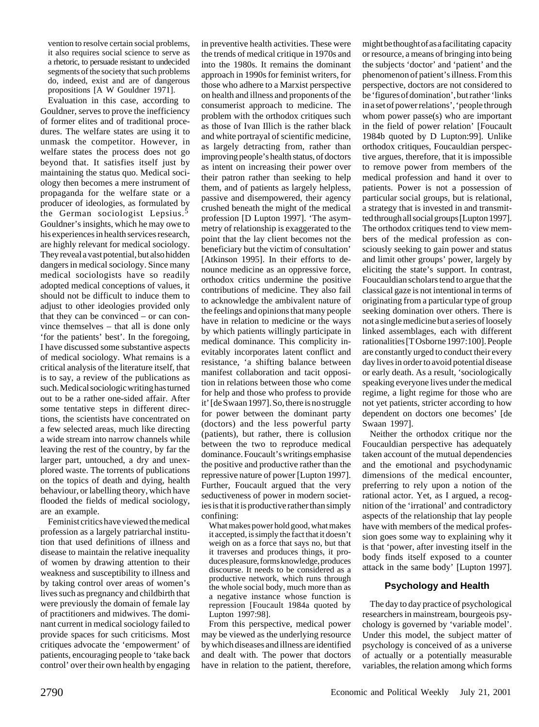vention to resolve certain social problems, it also requires social science to serve as a rhetoric, to persuade resistant to undecided segments of the society that such problems do, indeed, exist and are of dangerous propositions [A W Gouldner 1971].

Evaluation in this case, according to Gouldner, serves to prove the inefficiency of former elites and of traditional procedures. The welfare states are using it to unmask the competitor. However, in welfare states the process does not go beyond that. It satisfies itself just by maintaining the status quo. Medical sociology then becomes a mere instrument of propaganda for the welfare state or a producer of ideologies, as formulated by the German sociologist Lepsius.<sup>5</sup> Gouldner's insights, which he may owe to his experiences in health services research, are highly relevant for medical sociology. They reveal a vast potential, but also hidden dangers in medical sociology. Since many medical sociologists have so readily adopted medical conceptions of values, it should not be difficult to induce them to adjust to other ideologies provided only that they can be convinced – or can convince themselves – that all is done only 'for the patients' best'. In the foregoing, I have discussed some substantive aspects of medical sociology. What remains is a critical analysis of the literature itself, that is to say, a review of the publications as such. Medical sociologic writing has turned out to be a rather one-sided affair. After some tentative steps in different directions, the scientists have concentrated on a few selected areas, much like directing a wide stream into narrow channels while leaving the rest of the country, by far the larger part, untouched, a dry and unexplored waste. The torrents of publications on the topics of death and dying, health behaviour, or labelling theory, which have flooded the fields of medical sociology, are an example.

Feminist critics have viewed the medical profession as a largely patriarchal institution that used definitions of illness and disease to maintain the relative inequality of women by drawing attention to their weakness and susceptibility to illness and by taking control over areas of women's lives such as pregnancy and childbirth that were previously the domain of female lay of practitioners and midwives. The dominant current in medical sociology failed to provide spaces for such criticisms. Most critiques advocate the 'empowerment' of patients, encouraging people to 'take back control' over their own health by engaging

in preventive health activities. These were the trends of medical critique in 1970s and into the 1980s. It remains the dominant approach in 1990s for feminist writers, for those who adhere to a Marxist perspective on health and illness and proponents of the consumerist approach to medicine. The problem with the orthodox critiques such as those of Ivan Illich is the rather black and white portrayal of scientific medicine, as largely detracting from, rather than improving people's health status, of doctors as intent on increasing their power over their patron rather than seeking to help them, and of patients as largely helpless, passive and disempowered, their agency crushed beneath the might of the medical profession [D Lupton 1997]. 'The asymmetry of relationship is exaggerated to the point that the lay client becomes not the beneficiary but the victim of consultation' [Atkinson 1995]. In their efforts to denounce medicine as an oppressive force, orthodox critics undermine the positive contributions of medicine. They also fail to acknowledge the ambivalent nature of the feelings and opinions that many people have in relation to medicine or the ways by which patients willingly participate in medical dominance. This complicity inevitably incorporates latent conflict and resistance, 'a shifting balance between manifest collaboration and tacit opposition in relations between those who come for help and those who profess to provide it' [de Swaan 1997]. So, there is no struggle for power between the dominant party (doctors) and the less powerful party (patients), but rather, there is collusion between the two to reproduce medical dominance. Foucault's writings emphasise the positive and productive rather than the repressive nature of power [Lupton 1997]. Further, Foucault argued that the very seductiveness of power in modern societies is that it is productive rather than simply confining:

What makes power hold good, what makes it accepted, is simply the fact that it doesn't weigh on as a force that says no, but that it traverses and produces things, it produces pleasure, forms knowledge, produces discourse. It needs to be considered as a productive network, which runs through the whole social body, much more than as a negative instance whose function is repression [Foucault 1984a quoted by Lupton 1997:98].

From this perspective, medical power may be viewed as the underlying resource by which diseases and illness are identified and dealt with. The power that doctors have in relation to the patient, therefore,

might be thought of as a facilitating capacity or resource, a means of bringing into being the subjects 'doctor' and 'patient' and the phenomenon of patient's illness. From this perspective, doctors are not considered to be 'figures of domination', but rather 'links in a set of power relations', 'people through whom power passe(s) who are important in the field of power relation' [Foucault 1984b quoted by D Lupton:99]. Unlike orthodox critiques, Foucauldian perspective argues, therefore, that it is impossible to remove power from members of the medical profession and hand it over to patients. Power is not a possession of particular social groups, but is relational, a strategy that is invested in and transmitted through all social groups [Lupton 1997]. The orthodox critiques tend to view members of the medical profession as consciously seeking to gain power and status and limit other groups' power, largely by eliciting the state's support. In contrast, Foucauldian scholars tend to argue that the classical gaze is not intentional in terms of originating from a particular type of group seeking domination over others. There is not a single medicine but a series of loosely linked assemblages, each with different rationalities [T Osborne 1997:100]. People are constantly urged to conduct their every day lives in order to avoid potential disease or early death. As a result, 'sociologically speaking everyone lives under the medical regime, a light regime for those who are not yet patients, stricter according to how dependent on doctors one becomes' [de Swaan 1997].

Neither the orthodox critique nor the Foucauldian perspective has adequately taken account of the mutual dependencies and the emotional and psychodynamic dimensions of the medical encounter, preferring to rely upon a notion of the rational actor. Yet, as I argued, a recognition of the 'irrational' and contradictory aspects of the relationship that lay people have with members of the medical profession goes some way to explaining why it is that 'power, after investing itself in the body finds itself exposed to a counter attack in the same body' [Lupton 1997].

# **Psychology and Health**

The day to day practice of psychological researchers in mainstream, bourgeois psychology is governed by 'variable model'. Under this model, the subject matter of psychology is conceived of as a universe of actually or a potentially measurable variables, the relation among which forms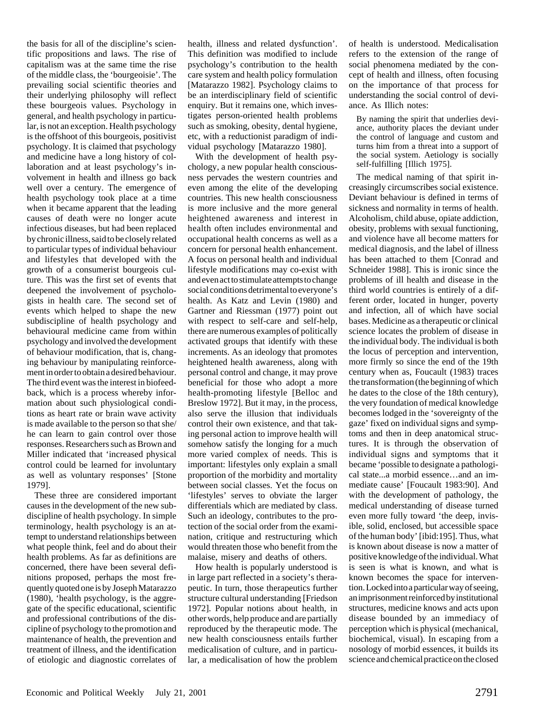the basis for all of the discipline's scientific propositions and laws. The rise of capitalism was at the same time the rise of the middle class, the 'bourgeoisie'. The prevailing social scientific theories and their underlying philosophy will reflect these bourgeois values. Psychology in general, and health psychology in particular, is not an exception. Health psychology is the offshoot of this bourgeois, positivist psychology. It is claimed that psychology and medicine have a long history of collaboration and at least psychology's involvement in health and illness go back well over a century. The emergence of health psychology took place at a time when it became apparent that the leading causes of death were no longer acute infectious diseases, but had been replaced by chronic illness, said to be closely related to particular types of individual behaviour and lifestyles that developed with the growth of a consumerist bourgeois culture. This was the first set of events that deepened the involvement of psychologists in health care. The second set of events which helped to shape the new subdiscipline of health psychology and behavioural medicine came from within psychology and involved the development of behaviour modification, that is, changing behaviour by manipulating reinforcement in order to obtain a desired behaviour. The third event was the interest in biofeedback, which is a process whereby information about such physiological conditions as heart rate or brain wave activity is made available to the person so that she/ he can learn to gain control over those responses. Researchers such as Brown and Miller indicated that 'increased physical control could be learned for involuntary as well as voluntary responses' [Stone 1979].

These three are considered important causes in the development of the new subdiscipline of health psychology. In simple terminology, health psychology is an attempt to understand relationships between what people think, feel and do about their health problems. As far as definitions are concerned, there have been several definitions proposed, perhaps the most frequently quoted one is by Joseph Matarazzo (1980), 'health psychology, is the aggregate of the specific educational, scientific and professional contributions of the discipline of psychology to the promotion and maintenance of health, the prevention and treatment of illness, and the identification of etiologic and diagnostic correlates of

health, illness and related dysfunction'. This definition was modified to include psychology's contribution to the health care system and health policy formulation [Matarazzo 1982]. Psychology claims to be an interdisciplinary field of scientific enquiry. But it remains one, which investigates person-oriented health problems such as smoking, obesity, dental hygiene, etc, with a reductionist paradigm of individual psychology [Matarazzo 1980].

With the development of health psychology, a new popular health consciousness pervades the western countries and even among the elite of the developing countries. This new health consciousness is more inclusive and the more general heightened awareness and interest in health often includes environmental and occupational health concerns as well as a concern for personal health enhancement. A focus on personal health and individual lifestyle modifications may co-exist with and even act to stimulate attempts to change social conditions detrimental to everyone's health. As Katz and Levin (1980) and Gartner and Riessman (1977) point out with respect to self-care and self-help, there are numerous examples of politically activated groups that identify with these increments. As an ideology that promotes heightened health awareness, along with personal control and change, it may prove beneficial for those who adopt a more health-promoting lifestyle [Belloc and Breslow 1972]. But it may, in the process, also serve the illusion that individuals control their own existence, and that taking personal action to improve health will somehow satisfy the longing for a much more varied complex of needs. This is important: lifestyles only explain a small proportion of the morbidity and mortality between social classes. Yet the focus on 'lifestyles' serves to obviate the larger differentials which are mediated by class. Such an ideology, contributes to the protection of the social order from the examination, critique and restructuring which would threaten those who benefit from the malaise, misery and deaths of others.

How health is popularly understood is in large part reflected in a society's therapeutic. In turn, those therapeutics further structure cultural understanding [Friedson 1972]. Popular notions about health, in other words, help produce and are partially reproduced by the therapeutic mode. The new health consciousness entails further medicalisation of culture, and in particular, a medicalisation of how the problem

of health is understood. Medicalisation refers to the extension of the range of social phenomena mediated by the concept of health and illness, often focusing on the importance of that process for understanding the social control of deviance. As Illich notes:

By naming the spirit that underlies deviance, authority places the deviant under the control of language and custom and turns him from a threat into a support of the social system. Aetiology is socially self-fulfilling [Illich 1975].

The medical naming of that spirit increasingly circumscribes social existence. Deviant behaviour is defined in terms of sickness and normality in terms of health. Alcoholism, child abuse, opiate addiction, obesity, problems with sexual functioning, and violence have all become matters for medical diagnosis, and the label of illness has been attached to them [Conrad and Schneider 1988]. This is ironic since the problems of ill health and disease in the third world countries is entirely of a different order, located in hunger, poverty and infection, all of which have social bases. Medicine as a therapeutic or clinical science locates the problem of disease in the individual body. The individual is both the locus of perception and intervention, more firmly so since the end of the 19th century when as, Foucault (1983) traces the transformation (the beginning of which he dates to the close of the 18th century), the very foundation of medical knowledge becomes lodged in the 'sovereignty of the gaze' fixed on individual signs and symptoms and then in deep anatomical structures. It is through the observation of individual signs and symptoms that it became 'possible to designate a pathological state...a morbid essence…and an immediate cause' [Foucault 1983:90]. And with the development of pathology, the medical understanding of disease turned even more fully toward 'the deep, invisible, solid, enclosed, but accessible space of the human body' [ibid:195]. Thus, what is known about disease is now a matter of positive knowledge of the individual. What is seen is what is known, and what is known becomes the space for intervention. Locked into a particular way of seeing, an imprisonment reinforced by institutional structures, medicine knows and acts upon disease bounded by an immediacy of perception which is physical (mechanical, biochemical, visual). In escaping from a nosology of morbid essences, it builds its science and chemical practice on the closed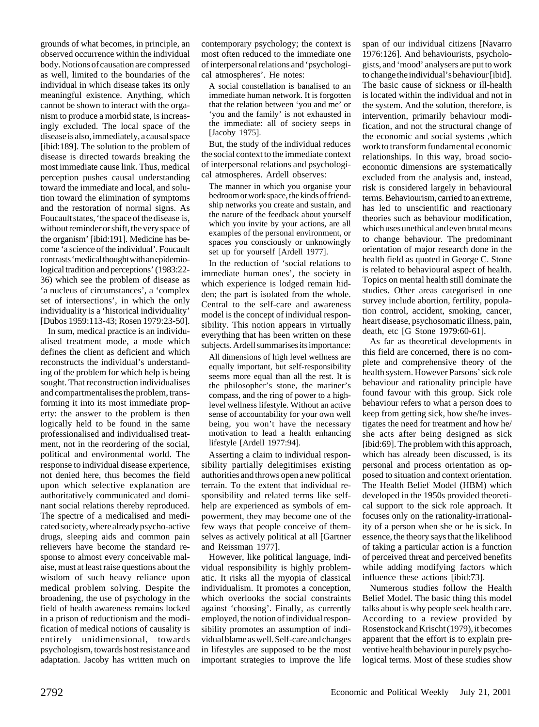grounds of what becomes, in principle, an observed occurrence within the individual body. Notions of causation are compressed as well, limited to the boundaries of the individual in which disease takes its only meaningful existence. Anything, which cannot be shown to interact with the organism to produce a morbid state, is increasingly excluded. The local space of the disease is also, immediately, a causal space [ibid:189]. The solution to the problem of disease is directed towards breaking the most immediate cause link. Thus, medical perception pushes causal understanding toward the immediate and local, and solution toward the elimination of symptoms and the restoration of normal signs. As Foucault states, 'the space of the disease is, without reminder or shift, the very space of the organism' [ibid:191]. Medicine has become 'a science of the individual'. Foucault contrasts 'medical thought with an epidemiological tradition and perceptions' (1983:22- 36) which see the problem of disease as 'a nucleus of circumstances', a 'complex set of intersections', in which the only individuality is a 'historical individuality' [Dubos 1959:113-43; Rosen 1979:23-50].

In sum, medical practice is an individualised treatment mode, a mode which defines the client as deficient and which reconstructs the individual's understanding of the problem for which help is being sought. That reconstruction individualises and compartmentalises the problem, transforming it into its most immediate property: the answer to the problem is then logically held to be found in the same professionalised and individualised treatment, not in the reordering of the social, political and environmental world. The response to individual disease experience, not denied here, thus becomes the field upon which selective explanation are authoritatively communicated and dominant social relations thereby reproduced. The spectre of a medicalised and medicated society, where already psycho-active drugs, sleeping aids and common pain relievers have become the standard response to almost every conceivable malaise, must at least raise questions about the wisdom of such heavy reliance upon medical problem solving. Despite the broadening, the use of psychology in the field of health awareness remains locked in a prison of reductionism and the modification of medical notions of causality is entirely unidimensional, towards psychologism, towards host resistance and adaptation. Jacoby has written much on

contemporary psychology; the context is most often reduced to the immediate one of interpersonal relations and 'psychological atmospheres'. He notes:

A social constellation is banalised to an immediate human network. It is forgotten that the relation between 'you and me' or 'you and the family' is not exhausted in the immediate: all of society seeps in [Jacoby 1975].

But, the study of the individual reduces the social context to the immediate context of interpersonal relations and psychological atmospheres. Ardell observes:

The manner in which you organise your bedroom or work space, the kinds of friendship networks you create and sustain, and the nature of the feedback about yourself which you invite by your actions, are all examples of the personal environment, or spaces you consciously or unknowingly set up for yourself [Ardell 1977].

In the reduction of 'social relations to immediate human ones', the society in which experience is lodged remain hidden; the part is isolated from the whole. Central to the self-care and awareness model is the concept of individual responsibility. This notion appears in virtually everything that has been written on these subjects. Ardell summarises its importance:

All dimensions of high level wellness are equally important, but self-responsibility seems more equal than all the rest. It is the philosopher's stone, the mariner's compass, and the ring of power to a highlevel wellness lifestyle. Without an active sense of accountability for your own well being, you won't have the necessary motivation to lead a health enhancing lifestyle [Ardell 1977:94].

Asserting a claim to individual responsibility partially delegitimises existing authorities and throws open a new political terrain. To the extent that individual responsibility and related terms like selfhelp are experienced as symbols of empowerment, they may become one of the few ways that people conceive of themselves as actively political at all [Gartner and Reissman 1977].

However, like political language, individual responsibility is highly problematic. It risks all the myopia of classical individualism. It promotes a conception, which overlooks the social constraints against 'choosing'. Finally, as currently employed, the notion of individual responsibility promotes an assumption of individual blame as well. Self-care and changes in lifestyles are supposed to be the most important strategies to improve the life

span of our individual citizens [Navarro 1976:126]. And behaviourists, psychologists, and 'mood' analysers are put to work to change the individual's behaviour [ibid]. The basic cause of sickness or ill-health is located within the individual and not in the system. And the solution, therefore, is intervention, primarily behaviour modification, and not the structural change of the economic and social systems ,which work to transform fundamental economic relationships. In this way, broad socioeconomic dimensions are systematically excluded from the analysis and, instead, risk is considered largely in behavioural terms. Behaviourism, carried to an extreme, has led to unscientific and reactionary theories such as behaviour modification, which uses unethical and even brutal means to change behaviour. The predominant orientation of major research done in the health field as quoted in George C. Stone is related to behavioural aspect of health. Topics on mental health still dominate the studies. Other areas categorised in one survey include abortion, fertility, population control, accident, smoking, cancer, heart disease, psychosomatic illness, pain, death, etc [G Stone 1979:60-61].

As far as theoretical developments in this field are concerned, there is no complete and comprehensive theory of the health system. However Parsons' sick role behaviour and rationality principle have found favour with this group. Sick role behaviour refers to what a person does to keep from getting sick, how she/he investigates the need for treatment and how he/ she acts after being designed as sick [ibid:69]. The problem with this approach, which has already been discussed, is its personal and process orientation as opposed to situation and context orientation. The Health Belief Model (HBM) which developed in the 1950s provided theoretical support to the sick role approach. It focuses only on the rationality-irrationality of a person when she or he is sick. In essence, the theory says that the likelihood of taking a particular action is a function of perceived threat and perceived benefits while adding modifying factors which influence these actions [ibid:73].

Numerous studies follow the Health Belief Model. The basic thing this model talks about is why people seek health care. According to a review provided by Rosenstock and Krischt (1979), it becomes apparent that the effort is to explain preventive health behaviour in purely psychological terms. Most of these studies show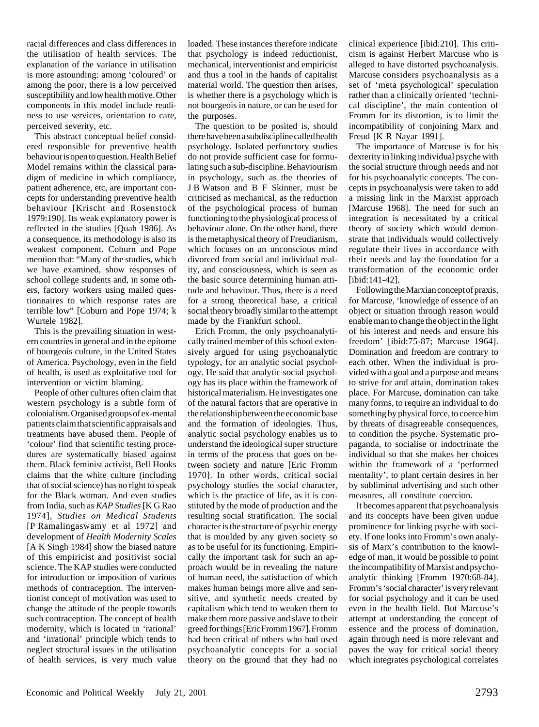racial differences and class differences in the utilisation of health services. The explanation of the variance in utilisation is more astounding: among 'coloured' or among the poor, there is a low perceived susceptibility and low health motive. Other components in this model include readiness to use services, orientation to care, perceived severity, etc.

This abstract conceptual belief considered responsible for preventive health behaviour is open to question. Health Belief Model remains within the classical paradigm of medicine in which compliance, patient adherence, etc, are important concepts for understanding preventive health behaviour [Krischt and Rosenstock 1979:190]. Its weak explanatory power is reflected in the studies [Quah 1986]. As a consequence, its methodology is also its weakest component. Coburn and Pope mention that: "Many of the studies, which we have examined, show responses of school college students and, in some others, factory workers using mailed questionnaires to which response rates are terrible low" [Coburn and Pope 1974; k Wurtele 1982].

This is the prevailing situation in western countries in general and in the epitome of bourgeois culture, in the United States of America. Psychology, even in the field of health, is used as exploitative tool for intervention or victim blaming.

People of other cultures often claim that western psychology is a subtle form of colonialism. Organised groups of ex-mental patients claim that scientific appraisals and treatments have abused them. People of 'colour' find that scientific testing procedures are systematically biased against them. Black feminist activist, Bell Hooks claims that the white culture (including that of social science) has no right to speak for the Black woman. And even studies from India, such as *KAP Studies* [K G Rao 1974], *Studies on Medical Students* [P Ramalingaswamy et al 1972] and development of *Health Modernity Scales* [A K Singh 1984] show the biased nature of this empiricist and positivist social science. The KAP studies were conducted for introduction or imposition of various methods of contraception. The interventionist concept of motivation was used to change the attitude of the people towards such contraception. The concept of health modernity, which is located in 'rational' and 'irrational' principle which tends to neglect structural issues in the utilisation of health services, is very much value

loaded. These instances therefore indicate that psychology is indeed reductionist, mechanical, interventionist and empiricist and thus a tool in the hands of capitalist material world. The question then arises, is whether there is a psychology which is not bourgeois in nature, or can be used for the purposes.

The question to be posited is, should there have been a subdiscipline called health psychology. Isolated perfunctory studies do not provide sufficient case for formulating such a sub-discipline. Behaviourism in psychology, such as the theories of J B Watson and B F Skinner, must be criticised as mechanical, as the reduction of the psychological process of human functioning to the physiological process of behaviour alone. On the other hand, there is the metaphysical theory of Freudianism, which focuses on an unconscious mind divorced from social and individual reality, and consciousness, which is seen as the basic source determining human attitude and behaviour. Thus, there is a need for a strong theoretical base, a critical social theory broadly similar to the attempt made by the Frankfurt school.

Erich Fromm, the only psychoanalytically trained member of this school extensively argued for using psychoanalytic typology, for an analytic social psychology. He said that analytic social psychology has its place within the framework of historical materialism. He investigates one of the natural factors that are operative in the relationship between the economic base and the formation of ideologies. Thus, analytic social psychology enables us to understand the ideological super structure in terms of the process that goes on between society and nature [Eric Fromm 1970]. In other words, critical social psychology studies the social character, which is the practice of life, as it is constituted by the mode of production and the resulting social stratification. The social character is the structure of psychic energy that is moulded by any given society so as to be useful for its functioning. Empirically the important task for such an approach would be in revealing the nature of human need, the satisfaction of which makes human beings more alive and sensitive, and synthetic needs created by capitalism which tend to weaken them to make them more passive and slave to their greed for things [Eric Fromm 1967]. Fromm had been critical of others who had used psychoanalytic concepts for a social theory on the ground that they had no

clinical experience [ibid:210]. This criticism is against Herbert Marcuse who is alleged to have distorted psychoanalysis. Marcuse considers psychoanalysis as a set of 'meta psychological' speculation rather than a clinically oriented 'technical discipline', the main contention of Fromm for its distortion, is to limit the incompatibility of conjoining Marx and Freud [K R Nayar 1991].

The importance of Marcuse is for his dexterity in linking individual psyche with the social structure through needs and not for his psychoanalytic concepts. The concepts in psychoanalysis were taken to add a missing link in the Marxist approach [Marcuse 1968]. The need for such an integration is necessitated by a critical theory of society which would demonstrate that individuals would collectively regulate their lives in accordance with their needs and lay the foundation for a transformation of the economic order [ibid:141-42].

Following the Marxian concept of praxis, for Marcuse, 'knowledge of essence of an object or situation through reason would enable man to change the object in the light of his interest and needs and ensure his freedom' [ibid:75-87; Marcuse 1964]. Domination and freedom are contrary to each other. When the individual is provided with a goal and a purpose and means to strive for and attain, domination takes place. For Marcuse, domination can take many forms, to require an individual to do something by physical force, to coerce him by threats of disagreeable consequences, to condition the psyche. Systematic propaganda, to socialise or indoctrinate the individual so that she makes her choices within the framework of a 'performed mentality', to plant certain desires in her by subliminal advertising and such other measures, all constitute coercion.

It becomes apparent that psychoanalysis and its concepts have been given undue prominence for linking psyche with society. If one looks into Fromm's own analysis of Marx's contribution to the knowledge of man, it would be possible to point the incompatibility of Marxist and psychoanalytic thinking [Fromm 1970:68-84]. Fromm's 'social character' is very relevant for social psychology and it can be used even in the health field. But Marcuse's attempt at understanding the concept of essence and the process of domination, again through need is more relevant and paves the way for critical social theory which integrates psychological correlates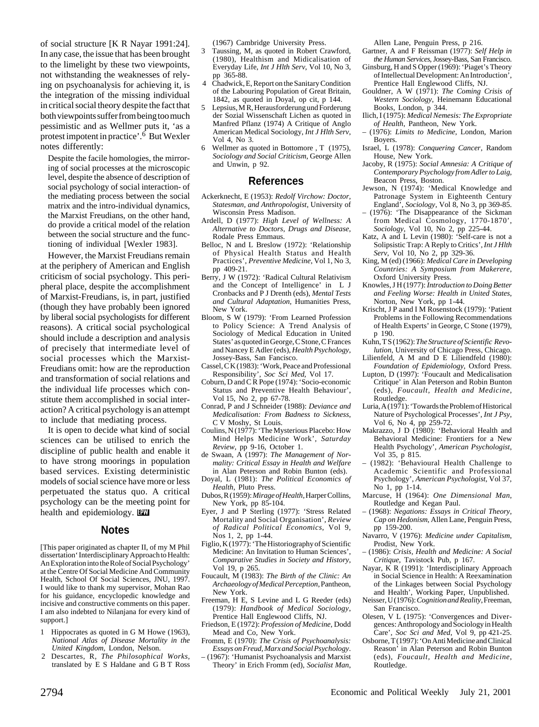of social structure [K R Nayar 1991:24]. In any case, the issue that has been brought to the limelight by these two viewpoints, not withstanding the weaknesses of relying on psychoanalysis for achieving it, is the integration of the missing individual in critical social theory despite the fact that both viewpoints suffer from being too much pessimistic and as Wellmer puts it, 'as a protest impotent in practice'.6 But Wexler notes differently:

Despite the facile homologies, the mirroring of social processes at the microscopic level, despite the absence of description of social psychology of social interaction- of the mediating process between the social matrix and the intro-individual dynamics, the Marxist Freudians, on the other hand, do provide a critical model of the relation between the social structure and the functioning of individual [Wexler 1983].

However, the Marxist Freudians remain at the periphery of American and English criticism of social psychology. This peripheral place, despite the accomplishment of Marxist-Freudians, is, in part, justified (though they have probably been ignored by liberal social psychologists for different reasons). A critical social psychological should include a description and analysis of precisely that intermediate level of social processes which the Marxist-Freudians omit: how are the reproduction and transformation of social relations and the individual life processes which constitute them accomplished in social interaction? A critical psychology is an attempt to include that mediating process.

It is open to decide what kind of social sciences can be utilised to enrich the discipline of public health and enable it to have strong moorings in population based services. Existing deterministic models of social science have more or less perpetuated the status quo. A critical psychology can be the meeting point for health and epidemiology. **PW** 

## **Notes**

[This paper originated as chapter II, of my M Phil dissertation' Interdisciplinary Approach to Health: An Exploration into the Role of Social Psychology' at the Centre Of Social Medicine And Community Health, School Of Social Sciences, JNU, 1997. I would like to thank my supervisor, Mohan Rao for his guidance, encyclopedic knowledge and incisive and constructive comments on this paper. I am also indebted to Nilanjana for every kind of support.]

- 1 Hippocrates as quoted in G M Howe (1963), *National Atlas of Disease Mortality in the United Kingdom,* London, Nelson.
- 2 Descartes, R, *The Philosophical Works*, translated by E S Haldane and G B T Ross

(1967) Cambridge University Press.

- 3 Taussing, M, as quoted in Robert Crawford, (1980), Healthism and Midicalisation of Everyday Life, *Int J Hlth Serv*, Vol 10, No 3, pp 365-88.
- 4 Chadwick, E, Report on the Sanitary Condition of the Labouring Population of Great Britain, 1842, as quoted in Doyal, op cit, p 144.
- 5 Lepsius, M R, Herausforderung und Forderung der Sozial Wissenschaft Lichen as quoted in Manfred Pflanz (1974) A Critique of Anglo American Medical Sociology, *Int J Hlth Serv*, Vol 4, No 3.
- Wellmer as quoted in Bottomore , T (1975), *Sociology and Social Criticism*, George Allen and Unwin, p 92.

#### **References**

- Ackerknecht, E (1953): *Redolf Virchow: Doctor, Statesman, and Anthropologist*, University of Wisconsin Press Madison.
- Ardell, D (1977): *High Level of Wellness: A Alternative to Doctors, Drugs and Disease*, Rodale Press Emmaus.
- Belloc, N and L Breslow (1972): 'Relationship of Physical Health Status and Health Practices', *Preventive Medicine*, Vol 1, No 3, pp 409-21.
- Berry, J W (1972): 'Radical Cultural Relativism and the Concept of Intelligence' in L J Cronbacks and P J Drenth (eds), *Mental Tests and Cultural Adaptation*, Humanities Press, New York.
- Bloom, S W (1979): 'From Learned Profession to Policy Science: A Trend Analysis of Sociology of Medical Education in United States' as quoted in George, C Stone, C Frances and Nancey E Adler (eds), *Health Psychology*, Jossey-Bass, San Fancisco.
- Cassel, C K (1983): 'Work, Peace and Professional Responsibility', *Soc Sci Med*, Vol 17.
- Coburn, D and C R Pope (1974): 'Socio-economic Status and Preventive Health Behaviour', Vol 15, No 2, pp 67-78.
- Conrad, P and J Schneider (1988): *Deviance and Medicalisation: From Badness to Sickness*, C V Moshy, St Louis.
- Coulins, N (1977): 'The Mysterious Placebo: How Mind Helps Medicine Work', *Saturday Review*, pp 9-16, October 1.
- de Swaan, A (1997): *The Management of Normality: Critical Essay in Health and Welfare* in Alan Peterson and Robin Bunton (eds).
- Doyal, L (1981): *The Political Economics of Health*, Pluto Press.
- Dubos, R (1959): *Mirage of Health*, Harper Collins, New York, pp 85-104.
- Eyer, J and P Sterling (1977): 'Stress Related Mortality and Social Organisation', *Review of Radical Political Economics*, Vol 9, Nos 1, 2, pp 1-44.
- Figlio, K (1977): 'The Historiography of Scientific Medicine: An Invitation to Human Sciences', *Comparative Studies in Society and History*, Vol 19, p 265.
- Foucault, M (1983): *The Birth of the Clinic: An Archaeology of Medical Perception*, Pantheon, New York.
- Freeman, H E, S Levine and L G Reeder (eds) (1979): *Handbook of Medical Sociology*, Prentice Hall Englewood Cliffs, NJ.
- Friedson, E (1972): *Profession of Medicine*, Dodd Mead and Co, New York.
- Fromm, E (1970): *The Crisis of Psychoanalysis: Essays on Freud, Marx and Social Psychology*.
- (1967): 'Humanist Psychoanalysis and Marxist Theory' in Erich Fromm (ed), *Socialist Man*,

Allen Lane, Penguin Press, p 216.

- Gartner, A and F Reissman (1977): *Self Help in the Human Services*, Jossey-Bass, San Francisco.
- Ginsburg, H and S Opper (1969): 'Piaget's Theory of Intellectual Development: An Introduction', Prentice Hall Englewood Cliffs, NJ.
- Gouldner, A W (1971): *The Coming Crisis of Western Sociology*, Heinemann Educational Books, London, p 344.
- Ilich, I (1975): *Medical Nemesis: The Expropriate of Health*, Pantheon, New York.
- (1976): *Limits to Medicine*, London, Marion **Boyers**
- Israel, L (1978): *Conquering Cancer*, Random House, New York.
- Jacoby, R (1975): *Social Amnesia: A Critique of Contemporary Psychology from Adler to Laig*, Beacon Press, Boston.
- Jewson, N (1974): 'Medical Knowledge and Patronage System in Eighteenth Century England', *Sociology*, Vol 8, No 3, pp 369-85.
- (1976): 'The Disappearance of the Sickman from Medical Cosmology, 1770-1870', *Sociology*, Vol 10, No 2, pp 225-44.
- Katz, A and L Levin (1980): 'Self-care is not a Solipsistic Trap: A Reply to Critics', *Int J Hlth Serv*, Vol 10, No 2, pp 329-36.
- King, M (ed) (1966): *Medical Care in Developing Countries: A Symposium from Makerere*, Oxford University Press.
- Knowles, J H (1977): *Introduction to Doing Better and Feeling Worse: Health in United States*, Norton, New York, pp 1-44.
- Krischt, J P aand I M Rosenstock (1979): 'Patient Problems in the Following Recommendations of Health Experts' in George, C Stone (1979), p 190.
- Kuhn, T S (1962): *The Structure of Scientific Revolution*, University of Chicago Press, Chicago.
- Lilienfeld, A M and D E Liliendfeld (1980): *Foundation of Epidemiology*, Oxford Press.
- Lupton, D (1997): 'Foucault and Medicalisation Critique' in Alan Peterson and Robin Bunton (eds), *Foucault, Health and Medicine*, Routledge.
- Luria, A (1971): 'Towards the Problem of Historical Nature of Psychological Processes', *Int J Psy*, Vol 6, No 4, pp 259-72.
- Makrazzo, J D (1980): 'Behavioral Health and Behavioral Medicine: Frontiers for a New Health Psychology', *American Psychologist*, Vol 35, p 815.
- (1982): 'Behavioural Health Challenge to Academic Scientific and Professional Psychology', *American Psychologist*, Vol 37, No 1, pp 1-14.
- Marcuse, H (1964): *One Dimensional Man*, Routledge and Kegan Paul.
- (1968): *Negations: Essays in Critical Theory, Cap on Hedonism*, Allen Lane, Penguin Press, pp 159-200.
- Navarro, V (1976): *Medicine under Capitalism*, Prodist, New York.
- (1986): *Crisis, Health and Medicine: A Social Critique*, Tavistock Pub, p 167.
- Nayar, K R (1991): 'Interdisciplinary Approach in Social Science in Health: A Reexamination of the Linkages between Social Psychology and Health', Working Paper, Unpublished.
- Neisser, U (1976): *Cognition and Reality*, Freeman, San Francisco.
- Olesen, V L (1975): 'Convergences and Divergences: Anthropology and Sociology in Health Care', *Soc Sci and Med*, Vol 9, pp 421-25.
- Osborne, T (1997): 'On Anti Medicine and Clinical Reason' in Alan Peterson and Robin Bunton (eds), *Foucault, Health and Medicine*, Routledge.